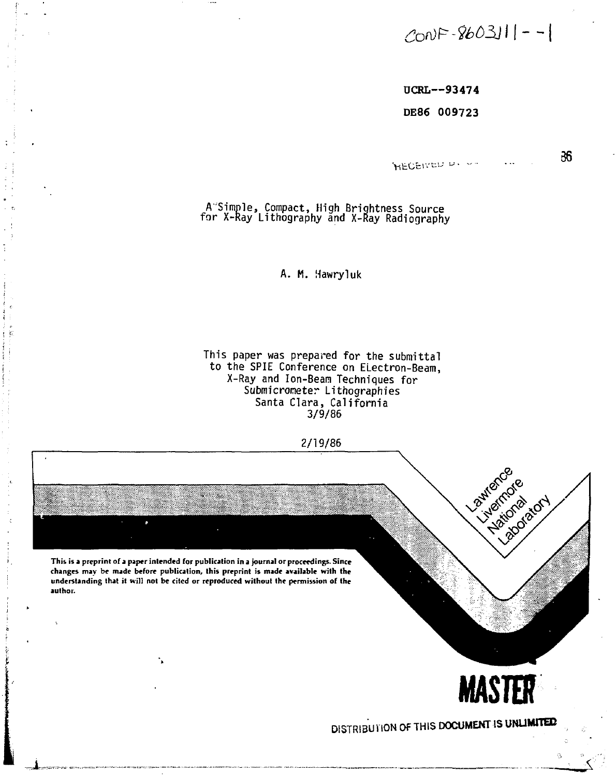# **£bn>F-#>03Jl|--**

**36** 

**DCRL—9347 4** 

**DE86 009723** 

**HECEIVED D. --**

A'Simple, Compact, High Brightness Source for X-Ray Lithography and X-Ray Radiography

A. M. Hawryluk

This paper was prepared for the submittal to the SPIE Conference on ELectron-Beam, X-Ray and Ion-Beam Techniques for Submicrometer Lithographies Santa Clara, California 3/9/86



This is a preprint of a paper intended for publication in a journal or proceedings. Since **changes may be made before publication, this preprint is made available with the understanding that it will not be cited or reproduced without the permission of the authoi.** 

۰,



**DISTRIBU1 ION Of THIS DOCUMENT IS UNLIMITED**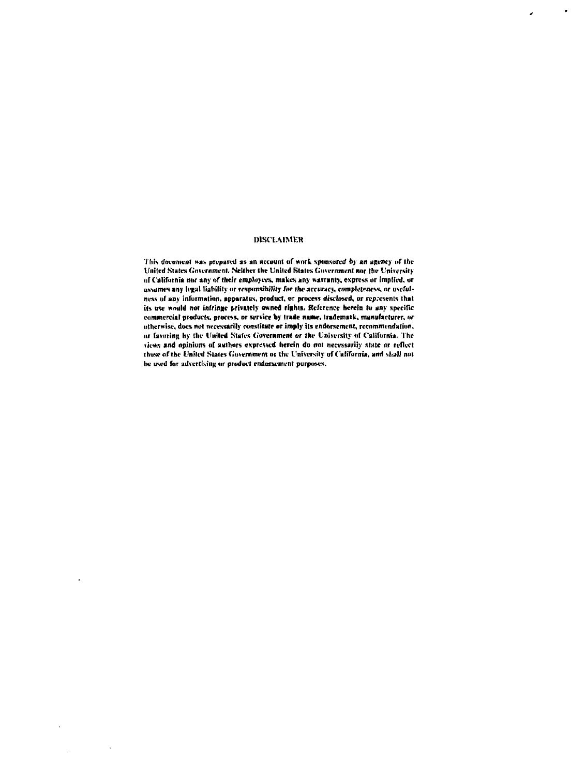### **MSCl.AIMKR**

 $\ddot{\phantom{1}}$ 

 $\overline{ }$ 

**litis document was prepared as an account of work sponsored h> an agency of the United States Government. Neither the United States Government nor the University of California nor any of their employee.?, makes any warranty, express or implied, or assumes any legal liability or responsibility far the accuracy, completeness, or usefulnew of any information, apparatus, product, or process disclosed, or represents that its use would not infringe privately owned rights. Reference hvreia to any specific commercial products, process, or service by trade name, trademark, manufacturer, or otherwise, does not necessarily constitute or imply its endorsement, recommendation, or favoring by the United States Government or the University or California. The tiews and opinions of authors expressed herein do not necessarily state or reflect (hose of the United States Government or the University of California, and [\hall n](file:///hall)ot**  be used for advertising or product endorsement purposes.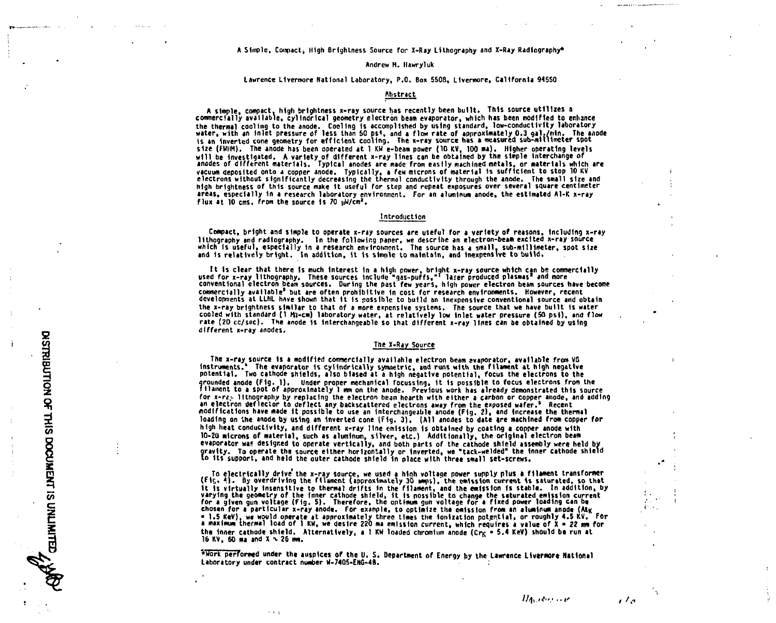### **A Simple, Compact, High Brightness Source for X-Ray Lithography and X-Ray Radiography\***

### **Andrew H. Ilawryluk**

### **Lawrence Livermore National laboratory, P.O. Box 5508, Llvermore, California 94550**

### **Abstract**

**A simple, compact, high brightness x-ray source has recently been built. This source utilizes a commercially available, cylindrical geometry electron beam evaporator, which has been modified to enhance**  the thermal cooling to the anode. Cooling is accomplished by using standard, low-conductivity laboratory<br>water, with an inlet pressure of less than 50 psi, and a flow rate of approximately 0.3 gal./min. The anode<br>is an i **size (FWHH). The anode has been operated at 1 KM e-beam power (10 KV, 100 ma). Higher operating levels will be Investigated. A variety of different x-ray lines can be obtained by the simple interchange of anodes of different materials. Typical anodes are made from easily machined metals, or materials which are vacuum deposited onto a copper anode. Typically, a few microns of material is sufficient to stop 10 KV**  electrons without significantly decreasing the thermal conductivity through the anode. The small size and<br>high brightness of this source make it useful for step and repeat exposures over several square centimeter **areas, especially 1n a research laboratory environment. For an aluminum anode, the estimated Al-K x-ray flux at 10 cms. from the source Is 70 pW/cm\*.** 

### **Introduction**

**Compact, bright and simple to operate x-ray sources are useful for a variety of reasons, including x-ray lithography and radiography. In the following paper, we describe an electron-beam excited x-ray source which Is useful, especially 1n a research environment. The source has a small, sub-millimeter, spat size and Is relatively bright. In addition, it Is staple to maintain, and Inexpensive to build.** 

It is clear that there is much interest in a high power, bright x-ray source which can be commercially<br>used for x-ray lithography. These sources include "gas-puffs," laser produced plasmas" and more<br>conventional electron b **commercially available' but are often prohibitive In cost for research environments. However, recent developments at LLHL have shown that 1t is possible to build an Inexpensive conventional source and obtain the x-ray brightness similar to that of a more expensive systems. The source that we have built is water cooled with standard (1 rti-cm) laboratory water, at relatively low inlet water pressure (SO psl), and flow rate (20 cc/sec). The anode is Interchangeable so that different x-ray lines can be obtained by using different x-ray anodes.** 

### **The X-Ray Source**

**The x-ray source Is a modified commercially available electron beam evaporator, available from VG Instruments.\* The evaporator Is cyllndrically symmetric, and runs with the filament at high negative potential. Two cathode shields, also biased at a high negative potential, focus the electrons to the grounded anode (Fig. 1). Under proper mechanical focussing. It is possible to focus electrons from the filament to a spot of approximately 1 mm on the anode. Previous work has already demonstrated this source**  for x-rz<sub>y</sub> lithography by replacing the electron beam hearth with either a carbon or copper anode, and adding **an electron deflector to deflect any backseattered electrons away from the exposed wafer.' Recent modifications have made it possible to use an Interchangeable anode (Fig, 2), and Increase the thermal loading on ihe anode by using an Inverted cone {fig. 3), (All anodes to date are machined from copper for high heat conductivity, and different x-ray line emission Is obtained by coating • copper anode with 10-20 microns of material, such as aluminum, silver, etc.) Additionally, the original electron beam evaporator was designed to operate vertically, and both parts of the cathode shield assembly were held by gravity. To operate the source either horizontally or Inverted, we "tack-welded\* the Inner cathode shield to its support, and held the outer cathode shield in place with three small set-screws.** 

To electrically drive the x-ray source, we used a high voltage power supply plus a filament transformer.<br>Fig. 4). By overdriving the filament (approximately 30 mmps), the emission current is saturated, so that it is virtually insensitive to thermal drifts in the filament, and the emission is stable. In addition, by<br>varying the geometry of the inner cathode shield, it is nossible to change the saturated emission current<br>for a gi chosen for a particular x-ray anode. For example, to optimize the emission from an aluminum anode (Atg = 1.5 KeV), we would operate at approximately three times the ionization potential, or roughly 4.5 KV. For<br>a maximum thermal load of 1 KW, we desire 220 ma emission current, which requires a value of X = 22 mm for the inner cathode shield. Alternatively, a 1 KW loaded chromium anode (Cr<sub>K</sub> = 5.4 KeV) should be run at **16 KV, 60 ma and X x 26 mm.** 

**\*Work performed under the auspices of the U. S. Department of Energy by the Lawrence Llvermor\* National Laboratory under contract number W-7405-ENG-48.** 

*lli\\.i(": ••!'* 

 $11a$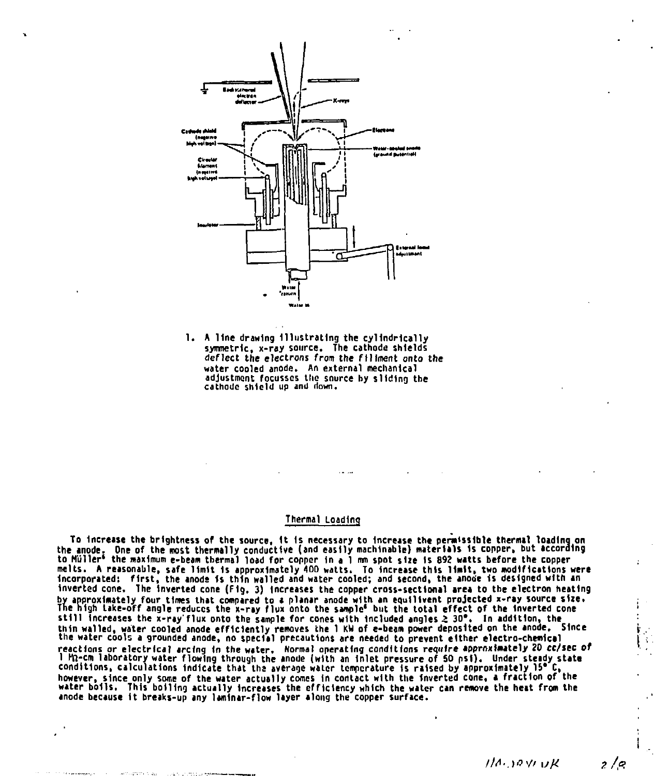

**1. A line drawing Illustrating the cylindrically symmetric, x-rsy source. The cathode shields deflect the electrons from the ftlfment onto the water cooled anode. An external mechanical adjustment focusscs the snurce by sliding the cathode shield up and down.** 

### **Thermal Loading**

io increase the prightness of the source, it is necessary to increase the permissible thermal loading on<br>the anode. One of the most thermally conductive (and easily machinable) materials is copper, but according<br>to Müller<sup></sup> melts. A reasonable, safe limit is approximately 400 watts. To increase this limit, two modifications were<br>incorporated: first, the anode is thin walled and water cooled; and second, the anode is designed with an **Inverted cone, The Inverted cone (Fig. 3) Increases the copper cross-sectional area to the electron heating by approximately four times that compared to a planar anode with an equlllvent projected x-ray source size. The high take-off angle reduces the x-ray flux onto the sample\* but the total effect of the Inverted cone still Increases the x-ray'flux onto the sample for cones with Included angles** *Z* **30\*. In addition, the**  thin walled, water cooled anode efficiently removes the 1 KW of e-beam power deposited on the anode. Since<br>the water cools a grounded anode, no special precautions are needed to prevent either electro-chemical reactions or electrical arcing in the water. Normal operating conditions require approximately 2D cc/sec of<br>I Mn-cm laboratory water flowing through the anode (with an inlet pressure of 50 psi). Under steady state<br>conditio **anode because it breaks-up any laminar-flow layer along the copper surface.** 

*Ilfl*•.)<?>// *ufi* 

ہ/ د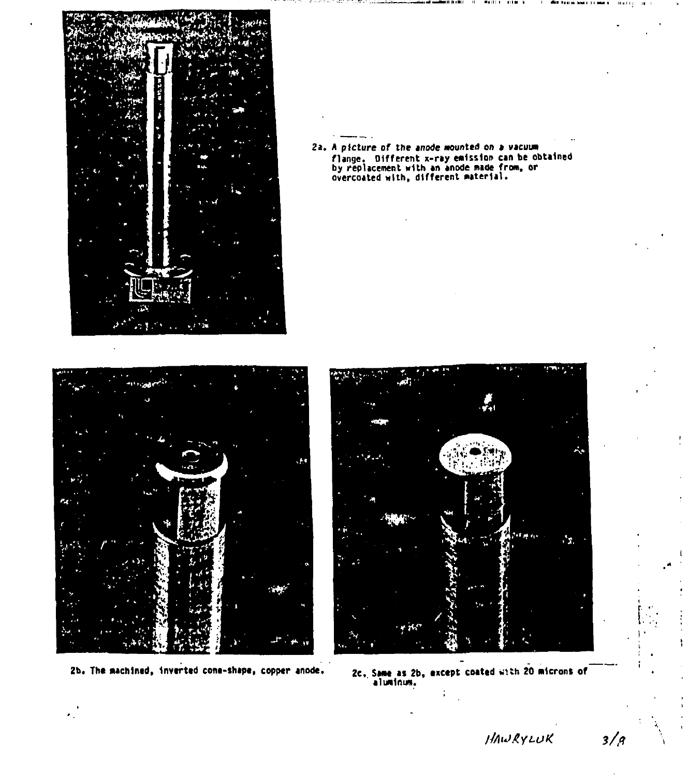

**2a. A picture of the anode mounted on a vacuum flange. Different x-ray emission can be obtained by replacement with an anode made from, or overcoated with, different material.** 





**Zb. Tht machined, Invtrttd cont-thapt, copper anode. 2c. Same as 2b, txctpt coattd with 20 microns of aluminum.** 

*//AtJAyt-UK* **3/17**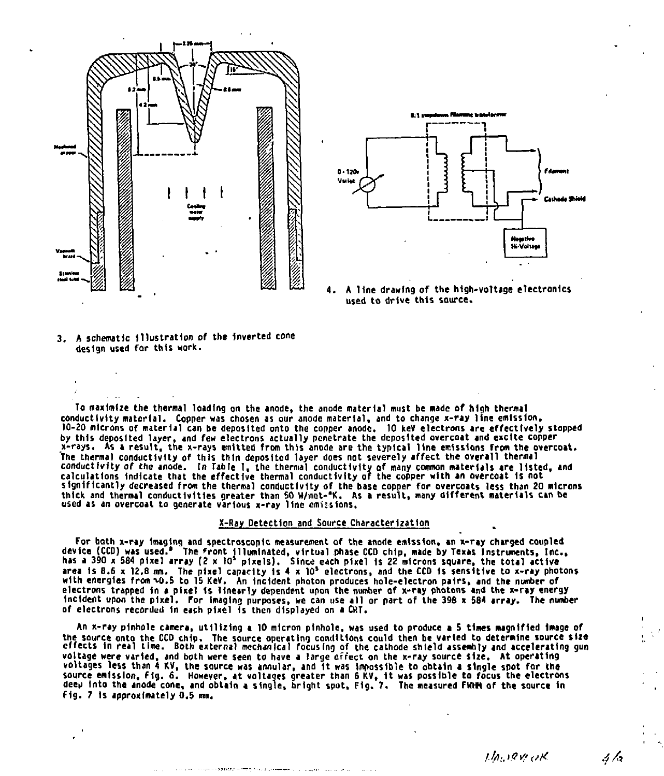



A line drawing of the high-voltage electronics used to drive this source.

**3. A schematic Illustration of the inverted cone design used for this work.** 

**To maximize the thermal loading on the anode, the anode material must be made of high thermal conductivity material. Copper was chosen as our anode material, and to change x-ray line emission,**  10-20 microns of material can be deposited onto the copper anode. 10 keV electrons are effectively stopped<br>by this deposited layer, and few electrons actually penetrate the deposited overcoat and excite copper **x-rays. As a result, the x-rays emitted from this anode are the typical line emissions from the overcoat. The thermal conductivity of this thin deposited layer does not severely affect the overall thermal conductivity of the anode. In Table 1, the thermal conductivity of many common materials are listed, and calculations Indicate that the effective thermal conductivity of the copper with an overcoat Is not significantly decreased from the thermal conductivity of the base copper for overcoats less than 20 microns thick and thermal conductivities greater than SO W/inct-'K. As a result, many different materials can be used as an overcoat to generate various x-ray line emus Ions.** 

#### **X-Ray Detection and Source Characterization**

**For both x-ray Imaging and spectroscopic measurement of the anode emission, an x-ray charged coupled device (CCD) was used.' The front Illuminated, virtual phase CCD chip, made by Texas Instruments, Inc., has a 390 x 584 pixel array (2 x 10<sup>s</sup> pixels). Since each pixel 1s 22 microns square, the total active area Is 8,6 x 12.8 imt. The pixel capacity is 4 x 10<sup>s</sup> electrons, and the CCD is sensitive to x-ray photons with energies from M).5 to 15 KeV. An Incident photon produces hole-electron pairs, and the number of electrons trapped In a pixel Is linearly dependent upon the number of x-ray photons and the x-ray energy Incident upon the pixel. For Imaging purposes, we can use all or part of the 39B x 584 array. The number of electrons recorded In each pixel Is then displayed on a CUT.** 

**An x-ray pinhole camera, utilizing a 10 micron pinhole, was used to produce a 5 times magnified Image of**  the source onto the CCD chip. The source operating conditions could then be varied to determine source size<br>effects in real time. Both external mechanical focusing of the cathode shield assembly and accelerating gun **voltage were varied, and both were seen to have a large effect on the x-ray source size. At operating voltages less than 4 KV, the source was annular, and It was impossible to obtain a single spot for the source emission, f 1g. 6. However, at voltages greater than 6 KV, It was possible to focus the electrons deeu Into the anode cone, and obtain a single, bright spot. Fig. 7. The measured FMHH of the source 1n Fig. 7 Is approximately 0.5 ran.** 

*lift.,, ifi? t'tf* 

4 /r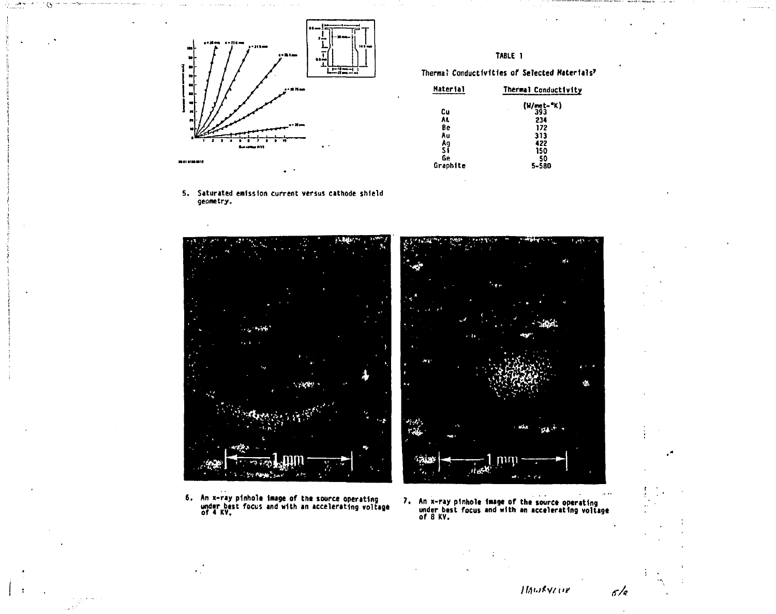

**5. Saturated emission current versus cathode shield geometry.** 

# $\sim 10^{-10}$  per  $\sim$  $1 - 16$ **: r4w.;-v-ViV'^**  <del>ं का</del>क्**री** श्लोण '

**6. An x-ray pinhole Image of the source operating under best focus and with an accelerating voltage** 

# **TABLE 1**

**Thermal Conductivities of Selected Materials'** 

| Thermal Conductivity |
|----------------------|
| (W/met-"K)<br>393    |
|                      |
| 234                  |
| 172                  |
| 313                  |
| 422                  |
| 150                  |
| 50                   |
| 5-580                |
|                      |



**An x-ray pinholt Image of the source operating under best focus and with an accelerating voltage of 8 KV.** 

*IfAi-itVitiv* 6/8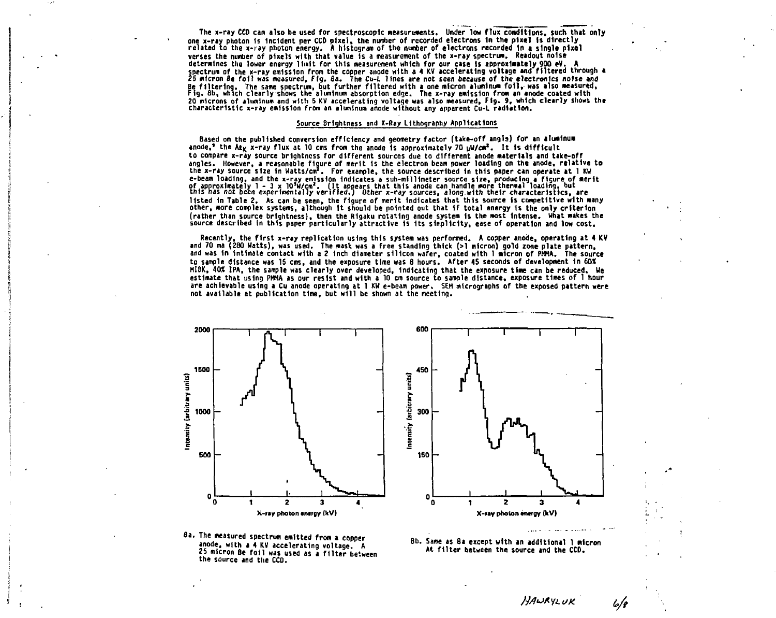**The x-ray CCD can also be used for spectroscopic measurements. Under low flux conditions, such that only one x-ray photon 1s Incident per CCD pixel, the number of recorded electrons In the pixel Is directly related to the x-ray photon energy. A histogram of the number of electrons recorded In a single pixel verses the number of pixels with that value is a measurement of the x-ray spectrum. Readout noise**  determines the lower energy limit for this measurement which for our case is approximately 900 eV.<br>spectrum of the x-ray emission from the copper anode with a 4 KV accelerating voltage and filtered through a<br>25 micron Be f Be filtering. The same spectrum, but further filtered with a one micron aluminum foil, was also measured,<br>Fig. 8b, which clearly shows the aluminum absorption edge. The x-ray emission from an anode coated with **20 microns of aluminum and with 5 KV accelerating voltage was also measured. Fig. 9, which clearly shows the characteristic x-ray emission from an aluminum anode without any apparent Cu-L radiation.** 

### **Source Brightness and X-Ray Lithography Applications**

**Based on the published conversion efficiency and geometry factor (take-off angls) for an aluminum**  anode,<sup>2</sup> the Aty x-ray flux at 10 cms from the anode Is approximately 70 uV/cm<sup>2</sup>. It is difficult **to compare x-ray source brightness for different sources due to different anode materials and take-off angles. However, a reasonable figure of merit is the electron beam power loading on the anode, relative to the x-ray source sl2e in Watts/cm\*. For example, the source described 1n this paper can operate at 1 KW**  e-beam loading, and the x-ray emission indicates a sub-millimeter source size, producing a figure of merit<br>of approximately 1 - 3 x lo<sup>a</sup>n/cm<sup>4</sup>. (it appears that this anode can handle more thermal loading, but<br>this has no **listed 1n Table 2. As can be seen, the figure of merit Indicates that this source is competitive with many other, more complex systems, although It should be pointed out that if total energy is the only criterion (rather than source brightness), then the Rlgaku rotating anode system 1s the most intense, what makes the source described In this paper particularly attractive is Its simplicity, ease of operation and low cost.** 

**Recently, the first x-ray replication using this system was performed. A copper anode, operating at 4 KV and 70 ma (280 Watts), was used. The mask was a free standing thick (>1 micron) gold zone plate pattern, and was in intimate contact with a 2 Inch diameter silicon wafer, coated with 1 micron of PHHA. The source to sample distance was 15 cms, and the exposure time was 8 hours. After 45 seconds of development In 60< MIBK, 40% IPA, the sample was clearly over developed. Indicating that the exposure time can be reduced. We estimate that using PHHA as our resist and with a 10 cm source to sample distance, exposure times of 1 hour are achievable using a Cu anode operating at 1 KW e-beam power. SEH micrographs of the exposed pattern were not available at publication time, but will be shown at the meeting.** 





**8a. The measured spectrum emitted from a copper anode, with a 4 KV accelerating voltage. A 25 micron Be foil was used as a filter between the source and the CCO.** 

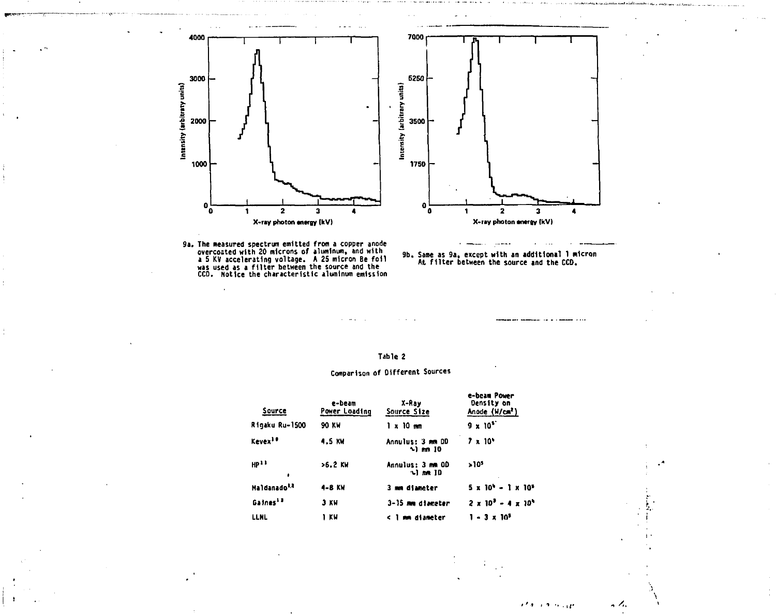

9a. The measured spectrum emitted from a copper anode<br>overcoated with 20 microns of aluminum, and with<br>a 5 KV accelerating voltage. A 25 micron Be foil<br>was used as a filter between the source and the<br>CCD. Notice the charac



### **Tahle 2**

## **Comparison of Different Sources**

| Source                   | e-beam<br>Power Loading | X-Ray<br>Source Size                 | e-beam Power<br>Density on<br>Anode (W/cm <sup>2</sup> ) |
|--------------------------|-------------------------|--------------------------------------|----------------------------------------------------------|
| Rigaku Ru-1500           | 90 KW                   | 1 x 10 mm                            | $9 \times 10^{5}$                                        |
| Kevex <sup>10</sup>      | 4.5 KW                  | Annulus: 3 mm DD<br>$\sim$ 1 mm $10$ | $7 \times 10^6$                                          |
| HP <sup>11</sup><br>٠    | >6.2 KW                 | Annulus: 3 mm OD<br>าไกล ID          | >10 <sup>3</sup>                                         |
| Maldanado <sup>1,2</sup> | 4-8 KW                  | 3 mm diameter                        | $5 \times 10^{6} - 1 \times 10^{6}$                      |
| Gaines <sup>13</sup>     | 3 KW                    | 3-35 mm diameter                     | $2 \times 10^{3} - 4 \times 10^{6}$                      |
| <b>LLNL</b>              | 1 KW                    | < 1 mm diameter                      | $1 - 3 \times 10^5$                                      |
|                          |                         |                                      |                                                          |

**SEPTIMARY** 

**,** */.*